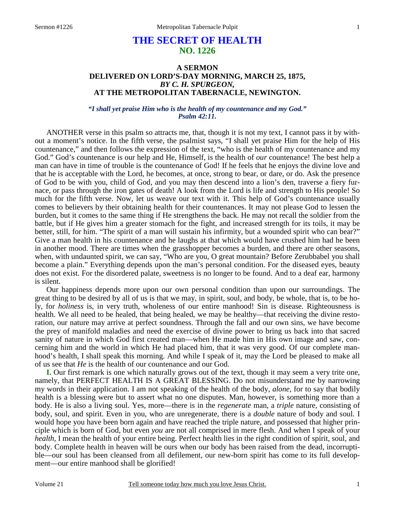# **THE SECRET OF HEALTH NO. 1226**

# **A SERMON DELIVERED ON LORD'S-DAY MORNING, MARCH 25, 1875,**  *BY C. H. SPURGEON,*  **AT THE METROPOLITAN TABERNACLE, NEWINGTON.**

*"I shall yet praise Him who is the health of my countenance and my God." Psalm 42:11.* 

ANOTHER verse in this psalm so attracts me, that, though it is not my text, I cannot pass it by without a moment's notice. In the fifth verse, the psalmist says, "I shall yet praise Him for the help of His countenance," and then follows the expression of the text, "who is the health of my countenance and my God." God's countenance is our help and He, Himself, is the health of *our* countenance! The best help a man can have in time of trouble is the countenance of God! If he feels that he enjoys the divine love and that he is acceptable with the Lord, he becomes, at once, strong to bear, or dare, or do. Ask the presence of God to be with you, child of God, and you may then descend into a lion's den, traverse a fiery furnace, or pass through the iron gates of death! A look from the Lord is life and strength to His people! So much for the fifth verse. Now, let us weave our text with it. This help of God's countenance usually comes to believers by their obtaining health for their countenances. It may not please God to lessen the burden, but it comes to the same thing if He strengthens the back. He may not recall the soldier from the battle, but if He gives him a greater stomach for the fight, and increased strength for its toils, it may be better, still, for him. "The spirit of a man will sustain his infirmity, but a wounded spirit who can bear?" Give a man health in his countenance and he laughs at that which would have crushed him had he been in another mood. There are times when the grasshopper becomes a burden, and there are other seasons, when, with undaunted spirit, we can say, "Who are you, O great mountain? Before Zerubbabel you shall become a plain." Everything depends upon the man's personal condition. For the diseased eyes, beauty does not exist. For the disordered palate, sweetness is no longer to be found. And to a deaf ear, harmony is silent.

Our happiness depends more upon our own personal condition than upon our surroundings. The great thing to be desired by all of us is that we may, in spirit, soul, and body, be whole, that is, to be holy, for *holiness* is, in very truth, wholeness of our entire manhood! Sin is disease. Righteousness is health. We all need to be healed, that being healed, we may be healthy—that receiving the divine restoration, our nature may arrive at perfect soundness. Through the fall and our own sins, we have become the prey of manifold maladies and need the exercise of divine power to bring us back into that sacred sanity of nature in which God first created man—when He made him in His own image and saw, concerning him and the world in which He had placed him, that it was very good. Of our complete manhood's health, I shall speak this morning. And while I speak of it, may the Lord be pleased to make all of us see that *He* is the health of our countenance and our God.

**I.** Our first remark is one which naturally grows out of the text, though it may seem a very trite one, namely, that PERFECT HEALTH IS A GREAT BLESSING. Do not misunderstand me by narrowing my words in their application. I am not speaking of the health of the body, *alone*, for to say that bodily health is a blessing were but to assert what no one disputes. Man, however, is something more than a body. He is also a living soul. Yes, more—there is in the *regenerate* man, a *triple* nature, consisting of body, soul, and spirit. Even in you, who are unregenerate, there is a *double* nature of body and soul. I would hope you have been born again and have reached the triple nature, and possessed that higher principle which is born of God, but even *you* are not all comprised in mere flesh. And when I speak of your *health,* I mean the health of your entire being. Perfect health lies in the right condition of spirit, soul, and body. Complete health in heaven will be ours when our body has been raised from the dead, incorruptible—our soul has been cleansed from all defilement, our new-born spirit has come to its full development—our entire manhood shall be glorified!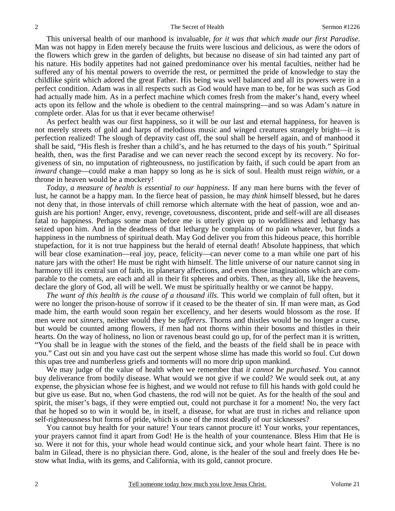This universal health of our manhood is invaluable, *for it was that which made our first Paradise*. Man was not happy in Eden merely because the fruits were luscious and delicious, as were the odors of the flowers which grew in the garden of delights, but because no disease of sin had tainted any part of his nature. His bodily appetites had not gained predominance over his mental faculties, neither had he suffered any of his mental powers to override the rest, or permitted the pride of knowledge to stay the childlike spirit which adored the great Father. His being was well balanced and all its powers were in a perfect condition. Adam was in all respects such as God would have man to be, for he was such as God had actually made him. As in a perfect machine which comes fresh from the maker's hand, every wheel acts upon its fellow and the whole is obedient to the central mainspring—and so was Adam's nature in complete order. Alas for us that it ever became otherwise!

As perfect health was our first happiness, so it will be our last and eternal happiness, for heaven is not merely streets of gold and harps of melodious music and winged creatures strangely bright—it is perfection realized! The slough of depravity cast off, the soul shall be herself again, and of manhood it shall be said, "His flesh is fresher than a child's, and he has returned to the days of his youth." Spiritual health, then, was the first Paradise and we can never reach the second except by its recovery. No forgiveness of sin, no imputation of righteousness, no justification by faith, if such could be apart from an *inward* change—could make a man happy so long as he is sick of soul. Health must reign *within*, or a throne in heaven would be a mockery!

*Today, a measure of health is essential to our happiness*. If any man here burns with the fever of lust, he cannot be a happy man. In the fierce heat of passion, he may *think* himself blessed, but he dares not deny that, in those intervals of chill remorse which alternate with the heat of passion, woe and anguish are his portion! Anger, envy, revenge, covetousness, discontent, pride and self-will are all diseases fatal to happiness. Perhaps some man before me is utterly given up to worldliness and lethargy has seized upon him. And in the deadness of that lethargy he complains of no pain whatever, but finds a happiness in the numbness of spiritual death. May God deliver you from this hideous peace, this horrible stupefaction, for it is not true happiness but the herald of eternal death! Absolute happiness, that which will bear close examination—real joy, peace, felicity—can never come to a man while one part of his nature jars with the other! He must be right with himself. The little universe of our nature cannot sing in harmony till its central sun of faith, its planetary affections, and even those imaginations which are comparable to the comets, are each and all in their fit spheres and orbits. Then, as they all, like the heavens, declare the glory of God, all will be well. We must be spiritually healthy or we cannot be happy.

*The want of this health is the cause of a thousand ills*. This world we complain of full often, but it were no longer the prison-house of sorrow if it ceased to be the theater of sin. If man were man, as God made him, the earth would soon regain her excellency, and her deserts would blossom as the rose. If men were not *sinners*, neither would they be *sufferers*. Thorns and thistles would be no longer a curse, but would be counted among flowers, if men had not thorns within their bosoms and thistles in their hearts. On the way of holiness, no lion or ravenous beast could go up, for of the perfect man it is written, "You shall be in league with the stones of the field, and the beasts of the field shall be in peace with you." Cast out sin and you have cast out the serpent whose slime has made this world so foul. Cut down this upas tree and numberless griefs and torments will no more drip upon mankind.

We may judge of the value of health when we remember that *it cannot be purchased*. You cannot buy deliverance from bodily disease. What would we not give if we could? We would seek out, at any expense, the physician whose fee is highest, and we would not refuse to fill his hands with gold could he but give us ease. But no, when God chastens, the rod will not be quiet. As for the health of the soul and spirit, the miser's bags, if they were emptied out, could not purchase it for a moment! No, the very fact that he hoped so to win it would be, in itself, a disease, for what are trust in riches and reliance upon self-righteousness but forms of pride, which is one of the most deadly of our sicknesses?

You cannot buy health for your nature! Your tears cannot procure it! Your works, your repentances, your prayers cannot find it apart from God! He is the health of your countenance. Bless Him that He is so. Were it not for this, your whole head would continue sick, and your whole heart faint. There is no balm in Gilead, there is no physician there. God, alone, is the healer of the soul and freely does He bestow what India, with its gems, and California, with its gold, cannot procure.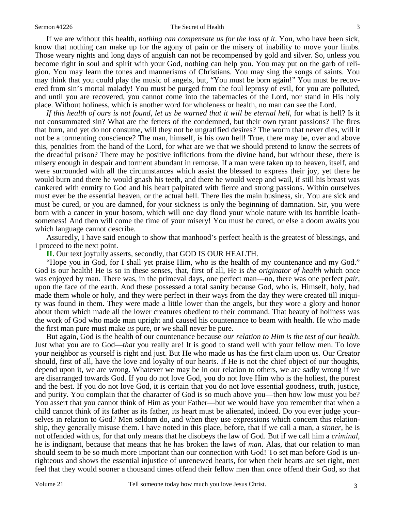If we are without this health, *nothing can compensate us for the loss of it*. You, who have been sick, know that nothing can make up for the agony of pain or the misery of inability to move your limbs. Those weary nights and long days of anguish can not be recompensed by gold and silver. So, unless you become right in soul and spirit with your God, nothing can help you. You may put on the garb of religion. You may learn the tones and mannerisms of Christians. You may sing the songs of saints. You may think that you could play the music of angels, but, "You must be born again!" You must be recovered from sin's mortal malady! You must be purged from the foul leprosy of evil, for you are polluted, and until you are recovered, you cannot come into the tabernacles of the Lord, nor stand in His holy place. Without holiness, which is another word for wholeness or health, no man can see the Lord.

*If this health of ours is not found, let us be warned that it will be eternal hell,* for what is hell? Is it not consummated sin? What are the fetters of the condemned, but their own tyrant passions? The fires that burn, and yet do not consume, will they not be ungratified desires? The worm that never dies, will it not be a tormenting conscience? The man, himself, is his own hell! True, there may be, over and above this, penalties from the hand of the Lord, for what are we that we should pretend to know the secrets of the dreadful prison? There may be positive inflictions from the divine hand, but without these, there is misery enough in despair and torment abundant in remorse. If a man were taken up to heaven, itself, and were surrounded with all the circumstances which assist the blessed to express their joy, yet there he would burn and there he would gnash his teeth, and there he would weep and wail, if still his breast was cankered with enmity to God and his heart palpitated with fierce and strong passions. Within ourselves must ever be the essential heaven, or the actual hell. There lies the main business, sir. You are sick and must be cured, or you are damned, for your sickness is only the beginning of damnation. Sir, you were born with a cancer in your bosom, which will one day flood your whole nature with its horrible loathsomeness! And then will come the time of your misery! You must be cured, or else a doom awaits you which language cannot describe.

Assuredly, I have said enough to show that manhood's perfect health is the greatest of blessings, and I proceed to the next point.

**II.** Our text joyfully asserts, secondly, that GOD IS OUR HEALTH.

"Hope you in God, for I shall yet praise Him, who is the health of my countenance and my God." God is our health! He is so in these senses, that, first of all, He is *the originator of health* which once was enjoyed by man. There was, in the primeval days, one perfect man—no, there was one perfect *pair*, upon the face of the earth. And these possessed a total sanity because God, who is, Himself, holy, had made them whole or holy, and they were perfect in their ways from the day they were created till iniquity was found in them. They were made a little lower than the angels, but they wore a glory and honor about them which made all the lower creatures obedient to their command. That beauty of holiness was the work of God who made man upright and caused his countenance to beam with health. He who made the first man pure must make *us* pure, or we shall never be pure.

But again, God is the health of our countenance because *our relation to Him is the test of our health*. Just what you are to God—*that* you really are! It is good to stand well with your fellow men. To love your neighbor as yourself is right and just. But He who made us has the first claim upon us. Our Creator should, first of all, have the love and loyalty of our hearts. If He is not the chief object of our thoughts, depend upon it, we are wrong. Whatever we may be in our relation to others, we are sadly wrong if we are disarranged towards God. If you do not love God, you do not love Him who is the holiest, the purest and the best. If you do not love God, it is certain that you do not love essential goodness, truth, justice, and purity. You complain that the character of God is so much above you—then how low must you be? You assert that you cannot think of Him as your Father—but we would have you remember that when a child cannot think of its father as its father, its heart must be alienated, indeed. Do you ever judge yourselves in relation to God? Men seldom do, and when they use expressions which concern this relationship, they generally misuse them. I have noted in this place, before, that if we call a man, a *sinner*, he is not offended with us, for that only means that he disobeys the law of God. But if we call him a *criminal*, he is indignant, because that means that he has broken the laws of *man*. Alas, that our relation to man should seem to be so much more important than our connection with God! To set man before God is unrighteous and shows the essential injustice of unrenewed hearts, for when their hearts are set right, men feel that they would sooner a thousand times offend their fellow men than *once* offend their God, so that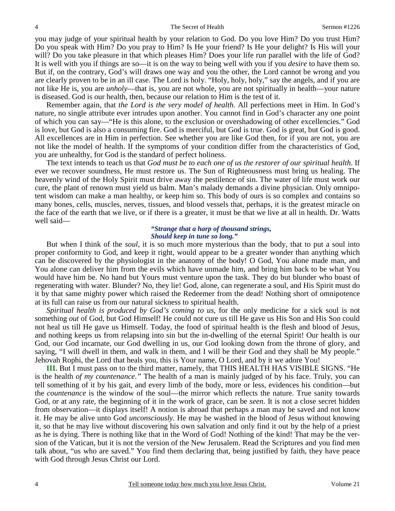you may judge of your spiritual health by your relation to God. Do you love Him? Do you trust Him? Do you speak with Him? Do you pray to Him? Is He your friend? Is He your delight? Is His will your will? Do you take pleasure in that which pleases Him? Does your life run parallel with the life of God? It is well with you if things are so—it is on the way to being well with you if you *desire* to have them so. But if, on the contrary, God's will draws one way and you the other, the Lord cannot be wrong and you are clearly proven to be in an ill case. The Lord is holy. "Holy, holy, holy," say the angels, and if you are not like He is, you are *unholy*—that is, you are not whole, you are not spiritually in health—your nature is diseased. God is our health, then, because our relation to Him is the test of it.

Remember again, that *the Lord is the very model of health*. All perfections meet in Him. In God's nature, no single attribute ever intrudes upon another. You cannot find in God's character any one point of which you can say—"He is this alone, to the exclusion or overshadowing of other excellencies." God is love, but God is also a consuming fire. God is merciful, but God is true. God is great, but God is good. All excellences are in Him in perfection. See whether you are like God then, for if you are not, you are not like the model of health. If the symptoms of your condition differ from the characteristics of God, you are unhealthy, for God is the standard of perfect holiness.

The text intends to teach us that *God must be to each one of us the restorer of our spiritual health*. If ever we recover soundness, He must restore us. The Sun of Righteousness must bring us healing. The heavenly wind of the Holy Spirit must drive away the pestilence of sin. The water of life must work our cure, the plant of renown must yield us balm. Man's malady demands a divine physician. Only omnipotent wisdom can make a man healthy, or keep him so. This body of ours is so complex and contains so many bones, cells, muscles, nerves, tissues, and blood vessels that, perhaps, it is the greatest miracle on the face of the earth that we live, or if there is a greater, it must be that we live at all in health. Dr. Watts well said—

#### *"Strange that a harp of thousand strings, Should keep in tune so long."*

But when I think of the *soul*, it is so much more mysterious than the body, that to put a soul into proper conformity to God, and keep it right, would appear to be a greater wonder than anything which can be discovered by the physiologist in the anatomy of the body! O God, You alone made man, and You alone can deliver him from the evils which have unmade him, and bring him back to be what You would have him be. No hand but Yours must venture upon the task. They do but blunder who boast of regenerating with water. Blunder? No, they lie! God, alone, can regenerate a soul, and His Spirit must do it by that same mighty power which raised the Redeemer from the dead! Nothing short of omnipotence at its full can raise us from our natural sickness to spiritual health.

*Spiritual health is produced by God's coming to us*, for the only medicine for a sick soul is not something *out* of God, but God Himself! He could not cure us till He gave us His Son and His Son could not heal us till He gave us Himself. Today, the food of spiritual health is the flesh and blood of Jesus, and nothing keeps us from relapsing into sin but the in-dwelling of the eternal Spirit! Our health is our God, our God incarnate, our God dwelling in us, our God looking down from the throne of glory, and saying, "I will dwell in them, and walk in them, and I will be their God and they shall be My people." Jehovah Rophi, the Lord that heals you, this is Your name, O Lord, and by it we adore You!

**III.** But I must pass on to the third matter, namely, that THIS HEALTH HAS VISIBLE SIGNS. "He is the health *of my countenance*.*"* The health of a man is mainly judged of by his face. Truly, you can tell something of it by his gait, and every limb of the body, more or less, evidences his condition—but the *countenance* is the window of the soul—the mirror which reflects the nature. True sanity towards God, or at any rate, the beginning of it in the work of grace, can be *seen*. It is not a close secret hidden from observation—it displays itself! A notion is abroad that perhaps a man may be saved and not know it. He may be alive unto God *unconsciously.* He may be washed in the blood of Jesus without knowing it, so that he may live without discovering his own salvation and only find it out by the help of a priest as he is dying. There is nothing like that in the Word of God! Nothing of the kind! That may be the version of the Vatican, but it is not the version of the New Jerusalem. Read the Scriptures and you find men talk about, "us who are saved." You find them declaring that, being justified by faith, they have peace with God through Jesus Christ our Lord.

4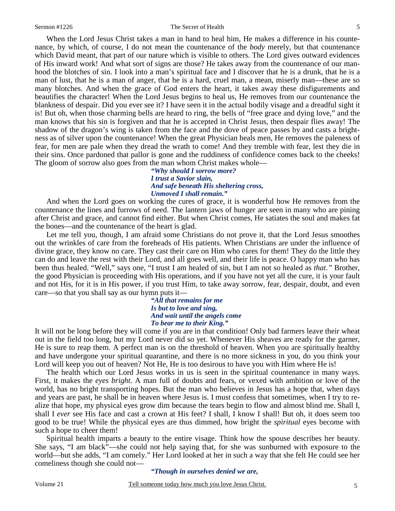#### Sermon #1226 The Secret of Health

When the Lord Jesus Christ takes a man in hand to heal him, He makes a difference in his countenance, by which, of course, I do not mean the countenance of the *body* merely, but that countenance which David meant, that part of our nature which is visible to others. The Lord gives outward evidences of His inward work! And what sort of signs are those? He takes away from the countenance of our manhood the blotches of sin. I look into a man's spiritual face and I discover that he is a drunk, that he is a man of lust, that he is a man of anger, that he is a hard, cruel man, a mean, miserly man—these are so many blotches. And when the grace of God enters the heart, it takes away these disfigurements and beautifies the character! When the Lord Jesus begins to heal us, He removes from our countenance the blankness of despair. Did you ever see it? I have seen it in the actual bodily visage and a dreadful sight it is! But oh, when those charming bells are heard to ring, the bells of "free grace and dying love," and the man knows that his sin is forgiven and that he is accepted in Christ Jesus, then despair flies away! The shadow of the dragon's wing is taken from the face and the dove of peace passes by and casts a brightness as of silver upon the countenance! When the great Physician heals men, He removes the paleness of fear, for men are pale when they dread the wrath to come! And they tremble with fear, lest they die in their sins. Once pardoned that pallor is gone and the ruddiness of confidence comes back to the cheeks! The gloom of sorrow also goes from the man whom Christ makes whole—

> *"Why should I sorrow more? I trust a Savior slain, And safe beneath His sheltering cross, Unmoved I shall remain."*

And when the Lord goes on working the cures of grace, it is wonderful how He removes from the countenance the lines and furrows of need. The lantern jaws of hunger are seen in many who are pining after Christ and grace, and cannot find either. But when Christ comes, He satiates the soul and makes fat the bones—and the countenance of the heart is glad.

Let me tell you, though, I am afraid some Christians do not prove it, that the Lord Jesus smoothes out the wrinkles of care from the foreheads of His patients. When Christians are under the influence of divine grace, they know no care. They cast their care on Him who cares for them! They do the little they can do and leave the rest with their Lord, and all goes well, and their life is peace. O happy man who has been thus healed. "Well," says one, "I trust I am healed of sin, but I am not so healed as *that*.*"* Brother, the good Physician is proceeding with His operations, and if you have not yet all the cure, it is your fault and not His, for it is in His power, if you trust Him, to take away sorrow, fear, despair, doubt, and even care—so that you shall say as our hymn puts it—

*"All that remains for me Is but to love and sing, And wait until the angels come To bear me to their King."* 

It will not be long before they will come if you are in that condition! Only bad farmers leave their wheat out in the field too long, but my Lord never did so yet. Whenever His sheaves are ready for the garner, He is sure to reap them. A perfect man is on the threshold of heaven. When you are spiritually healthy and have undergone your spiritual quarantine, and there is no more sickness in you, do you think your Lord will keep you out of heaven? Not He, He is too desirous to have you with Him where He is!

The health which our Lord Jesus works in us is seen in the spiritual countenance in many ways. First, it makes the *eyes bright*. A man full of doubts and fears, or vexed with ambition or love of the world, has no bright transporting hopes. But the man who believes in Jesus has a hope that, when days and years are past, he shall be in heaven where Jesus is. I must confess that sometimes, when I try to realize that hope, my physical eyes grow dim because the tears begin to flow and almost blind me. Shall I, shall I *ever* see His face and cast a crown at His feet? I shall, I know I shall! But oh, it does seem too good to be true! While the physical eyes are thus dimmed, how bright the *spiritual* eyes become with such a hope to cheer them!

Spiritual health imparts a beauty to the entire visage. Think how the spouse describes her beauty. She says, "I am black"—she could not help saying that, for she was sunburned with exposure to the world—but she adds, "I am comely." Her Lord looked at her in such a way that she felt He could see her comeliness though she could not—

### *"Though in ourselves denied we are,*

Volume 21 Tell someone today how much you love Jesus Christ.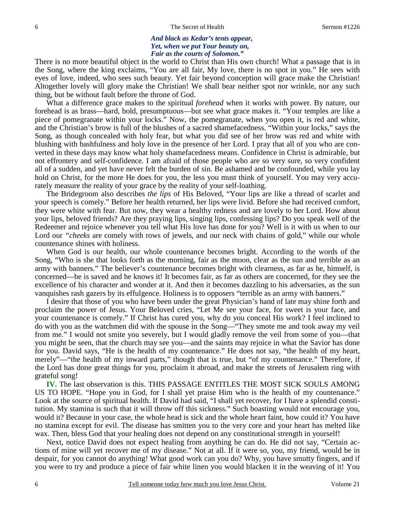### *And black as Kedar's tents appear, Yet, when we put Your beauty on, Fair as the courts of Solomon."*

There is no more beautiful object in the world to Christ than His own church! What a passage that is in the Song, where the king exclaims, "You are all fair, My love, there is no spot in you." He sees with eyes of love, indeed, who sees such beauty. Yet fair beyond conception will grace make the Christian! Altogether lovely will glory make the Christian! We shall bear neither spot nor wrinkle, nor any such thing, but be without fault before the throne of God.

What a difference grace makes to the spiritual *forehead* when it works with power. By nature, our forehead is as brass—hard, bold, presumptuous—but see what grace makes it. "Your temples are like a piece of pomegranate within your locks." Now, the pomegranate, when you open it, is red and white, and the Christian's brow is full of the blushes of a sacred shamefacedness. "Within your locks," says the Song, as though concealed with holy fear, but what you did see of her brow was red and white with blushing with bashfulness and holy love in the presence of her Lord. I pray that all of you who are converted in these days may know what holy shamefacedness means. Confidence in Christ is admirable, but not effrontery and self-confidence. I am afraid of those people who are so very sure, so very confident all of a sudden, and yet have never felt the burden of sin. Be ashamed and be confounded, while you lay hold on Christ, for the more He does for you, the less you must think of yourself. You may very accurately measure the reality of your grace by the reality of your self-loathing.

The Bridegroom also describes *the lips* of His Beloved, "Your lips are like a thread of scarlet and your speech is comely." Before her health returned, her lips were livid. Before she had received comfort, they were white with fear. But now, they wear a healthy redness and are lovely to her Lord. How about your lips, beloved friends? Are they praying lips, singing lips, confessing lips? Do you speak well of the Redeemer and rejoice whenever you tell what His love has done for you? Well is it with us when to our Lord our *"cheeks* are comely with rows of jewels, and our neck with chains of gold," while our whole countenance shines with holiness.

When God is our health, our whole countenance becomes bright. According to the words of the Song, "Who is she that looks forth as the morning, fair as the moon, clear as the sun and terrible as an army with banners." The believer's countenance becomes bright with clearness, as far as he, himself, is concerned—he is saved and he knows it! It becomes fair, as far as others are concerned, for they see the excellence of his character and wonder at it. And then it becomes dazzling to his adversaries, as the sun vanquishes rash gazers by its effulgence. Holiness is to opposers "terrible as an army with banners."

I desire that those of you who have been under the great Physician's hand of late may shine forth and proclaim the power of Jesus. Your Beloved cries, "Let Me see your face, for sweet is your face, and your countenance is comely." If Christ has cured you, why do you conceal His work? I feel inclined to do with you as the watchmen did with the spouse in the Song—"They smote me and took away my veil from me." I would not smite you severely, but I would gladly remove the veil from some of you—that you might be seen, that the church may see you—and the saints may rejoice in what the Savior has done for you. David says, "He is the health of my countenance." He does not say, "the health of my heart, merely"—"the health of my inward parts," though that is true, but "of my countenance." Therefore, if the Lord has done great things for you, proclaim it abroad, and make the streets of Jerusalem ring with grateful song!

**IV.** The last observation is this. THIS PASSAGE ENTITLES THE MOST SICK SOULS AMONG US TO HOPE. "Hope you in God, for I shall yet praise Him who is the health of my countenance." Look at the source of spiritual health. If David had said, "I shall yet recover, for I have a splendid constitution. My stamina is such that it will throw off this sickness." Such boasting would not encourage you, would it? Because in your case, the whole head is sick and the whole heart faint, how could it? You have no stamina except for evil. The disease has smitten you to the very core and your heart has melted like wax. Then, bless God that your healing does not depend on any constitutional strength in yourself!

Next, notice David does not expect healing from anything he can do. He did not say, "Certain actions of mine will yet recover me of my disease." Not at all. If it were so, you, my friend, would be in despair, for you cannot do anything! What good work can you do? Why, you have smutty fingers, and if you were to try and produce a piece of fair white linen you would blacken it in the weaving of it! You

6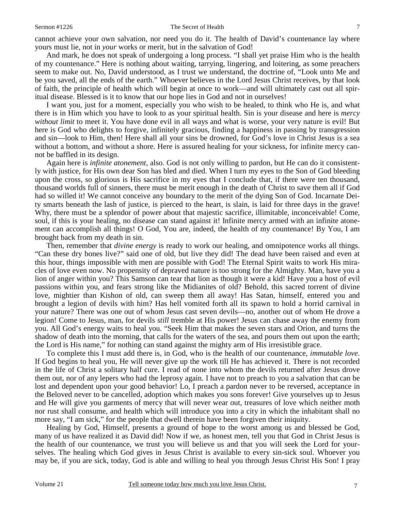cannot achieve your own salvation, nor need you do it. The health of David's countenance lay where yours must lie, not in *your* works or merit, but in the salvation of God!

And mark, he does not speak of undergoing a long process. "I shall yet praise Him who is the health of my countenance." Here is nothing about waiting, tarrying, lingering, and loitering, as some preachers seem to make out. No, David understood, as I trust we understand, the doctrine of, "Look unto Me and be you saved, all the ends of the earth." Whoever believes in the Lord Jesus Christ receives, by that look of faith, the principle of health which will begin at once to work—and will ultimately cast out all spiritual disease. Blessed is it to know that our hope lies in God and not in ourselves!

I want you, just for a moment, especially you who wish to be healed, to think who He is, and what there is in Him which you have to look to as your spiritual health. Sin is your disease and here is *mercy without limit* to meet it. You have done evil in all ways and what is worse, your very nature is evil! But here is God who delights to forgive, infinitely gracious, finding a happiness in passing by transgression and sin—look to Him, then! Here shall all your sins be drowned, for God's love in Christ Jesus is a sea without a bottom, and without a shore. Here is assured healing for your sickness, for infinite mercy cannot be baffled in its design.

Again here is *infinite atonement,* also. God is not only willing to pardon, but He can do it consistently with justice, for His own dear Son has bled and died. When I turn my eyes to the Son of God bleeding upon the cross, so glorious is His sacrifice in my eyes that I conclude that, if there were ten thousand, thousand worlds full of sinners, there must be merit enough in the death of Christ to save them all if God had so willed it! We cannot conceive any boundary to the merit of the dying Son of God. Incarnate Deity smarts beneath the lash of justice, is pierced to the heart, is slain, is laid for three days in the grave! Why, there must be a splendor of power about that majestic sacrifice, illimitable, inconceivable! Come, soul, if this is your healing, no disease can stand against it! Infinite mercy armed with an infinite atonement can accomplish all things! O God, You are, indeed, the health of my countenance! By You, I am brought back from my death in sin.

Then, remember that *divine energy* is ready to work our healing, and omnipotence works all things. "Can these dry bones live?" said one of old, but live they did! The dead have been raised and even at this hour, things impossible with men are possible with God! The Eternal Spirit waits to work His miracles of love even now. No propensity of depraved nature is too strong for the Almighty. Man, have you a lion of anger within you? This Samson can tear that lion as though it were a kid! Have you a host of evil passions within you, and fears strong like the Midianites of old? Behold, this sacred torrent of divine love, mightier than Kishon of old, can sweep them all away! Has Satan, himself, entered you and brought a legion of devils with him? Has hell vomited forth all its spawn to hold a horrid carnival in your nature? There was one out of whom Jesus cast seven devils—no, another out of whom He drove a legion! Come to Jesus, man, for devils *still* tremble at His power! Jesus can chase away the enemy from you. All God's energy waits to heal you. "Seek Him that makes the seven stars and Orion, and turns the shadow of death into the morning, that calls for the waters of the sea, and pours them out upon the earth; the Lord is His name," for nothing can stand against the mighty arm of His irresistible grace.

To complete this I must add there is, in God, who is the health of our countenance, *immutable love*. If God begins to heal you, He will never give up the work till He has achieved it. There is not recorded in the life of Christ a solitary half cure. I read of none into whom the devils returned after Jesus drove them out, nor of any lepers who had the leprosy again. I have not to preach to you a salvation that can be lost and dependent upon your good behavior! Lo, I preach a pardon never to be reversed, acceptance in the Beloved never to be cancelled, adoption which makes you sons forever! Give yourselves up to Jesus and He will give you garments of mercy that will never wear out, treasures of love which neither moth nor rust shall consume, and health which will introduce you into a city in which the inhabitant shall no more say, "I am sick," for the people that dwell therein have been forgiven their iniquity.

Healing by God, Himself, presents a ground of hope to the worst among us and blessed be God, many of us have realized it as David did! Now if we, as honest men, tell you that God in Christ Jesus is the health of our countenance, we trust you will believe us and that you will seek the Lord for yourselves. The healing which God gives in Jesus Christ is available to every sin-sick soul. Whoever you may be, if you are sick, today, God is able and willing to heal you through Jesus Christ His Son! I pray